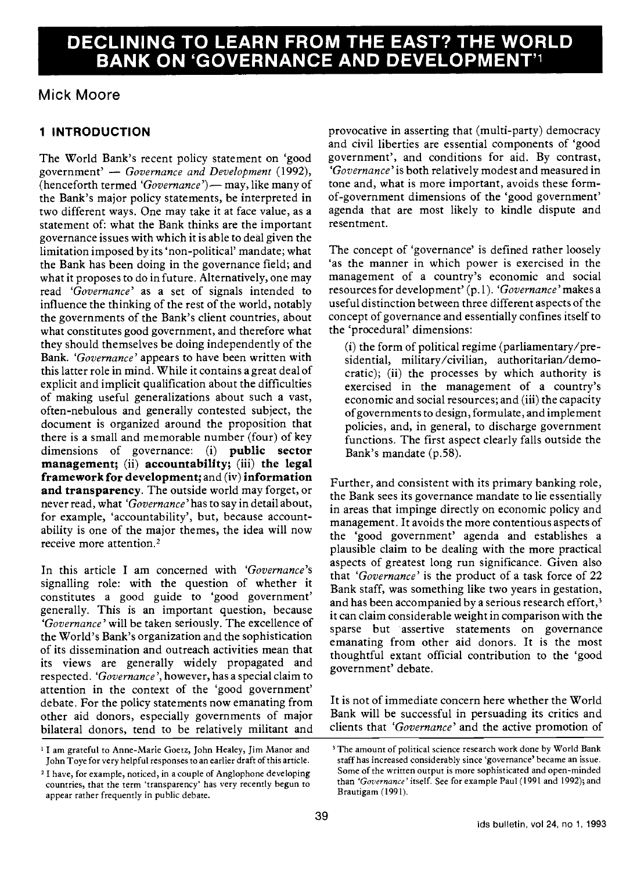# DECLINING TO LEARN FROM THE EAST? THE WORLD ON 'GOVERNANCE AND DEVELOP

# Mick Moore

## 1 INTRODUCTION

The World Bank's recent policy statement on 'good government'  $-$  Governance and Development (1992), (henceforth termed ' $Government$ )  $-$  may, like many of the Bank's major policy statements, be interpreted in two different ways. One may take it at face value, as a statement of: what the Bank thinks are the important governance issues with which it is able to deal given the limitation imposed by its 'non-political' mandate; what the Bank has been doing in the governance field; and what it proposes to do in future. Alternatively, one may read 'Governance' as a set of signals intended to influence the thinking of the rest of the world, notably the governments of the Bank's client countries, about what constitutes good government, and therefore what they should themselves be doing independently of the Bank. 'Governance' appears to have been written with this latter role in mind. While it contains a great deal of explicit and implicit qualification about the difficulties of making useful generalizations about such a vast, often-nebulous and generally contested subject, the document is organized around the proposition that there is a small and memorable number (four) of key dimensions of governance: (i) **public** sector management; (ii) accountability; (iii) the legal framework for development; and (iv) information and transparency. The outside world may forget, or never read, what 'Governance' has to say in detail about, for example, 'accountability', but, because accountability is one of the major themes, the idea will now receive more attention.2

In this article I am concerned with 'Governance's signalling role: with the question of whether it constitutes a good guide to 'good government' generally. This is an important question, because 'Governance' will be taken seriously. The excellence of the World's Bank's organization and the sophistication of its dissemination and outreach activities mean that its views are generally widely propagated and respected. 'Governance', however, has a special claim to attention in the context of the 'good government' debate. For the policy statements now emanating from other aid donors, especially governments of major bilateral donors, tend to be relatively militant and

provocative in asserting that (multi-party) democracy and civil liberties are essential components of 'good government', and conditions for aid. By contrast, 'Governance'is both relatively modest and measured in tone and, what is more important, avoids these formof-government dimensions of the 'good government' agenda that are most likely to kindle dispute and resentment.

The concept of 'governance' is defined rather loosely 'as the manner in which power is exercised in the management of a country's economic and social resources for development' (p.1). 'Governance'makes a useful distinction between three different aspects of the concept of governance and essentially confines itself to the 'procedural' dimensions:

(i) the form of political regime (parliamentary/presidential, military/civilian, authoritarian/democratic); (ii) the processes by which authority is exercised in the management of a country's economic and social resources; and (iii) the capacity of governments to design, formulate, and implement policies, and, in general, to discharge government functions. The first aspect clearly falls outside the Bank's mandate (p.58).

Further, and consistent with its primary banking role, the Bank sees its governance mandate to lie essentially in areas that impinge directly on economic policy and management. It avoids the more contentious aspects of the 'good government' agenda and establishes a plausible claim to be dealing with the more practical aspects of greatest long run significance. Given also that 'Governance' is the product of a task force of 22 Bank staff, was something like two years in gestation, and has been accompanied by a serious research effort, $3$ it can claim considerable weight in comparison with the sparse but assertive statements on governance emanating from other aid donors. It is the most thoughtful extant official contribution to the 'good government' debate.

It is not of immediate concern here whether the World Bank will be successful in persuading its critics and clients that 'Governance' and the active promotion of

<sup>&#</sup>x27;I am grateful to Anne-Marie Goetz, John Healey, Jim Manor and John Toye for very helpful responses to an earlier draft of this article.

<sup>2</sup> I have, for example, noticed, in a couple of Anglophone developing countries, that the term 'transparency' has very recently begun to appear rather frequently in public debate.

<sup>&</sup>lt;sup>3</sup> The amount of political science research work done by World Bank staff has increased considerably since 'governance' became an issue. Some of the written output is more sophisticated and open-minded than 'Governance' itself. See for example Paul (1991 and 1992); and Brautigam (1991).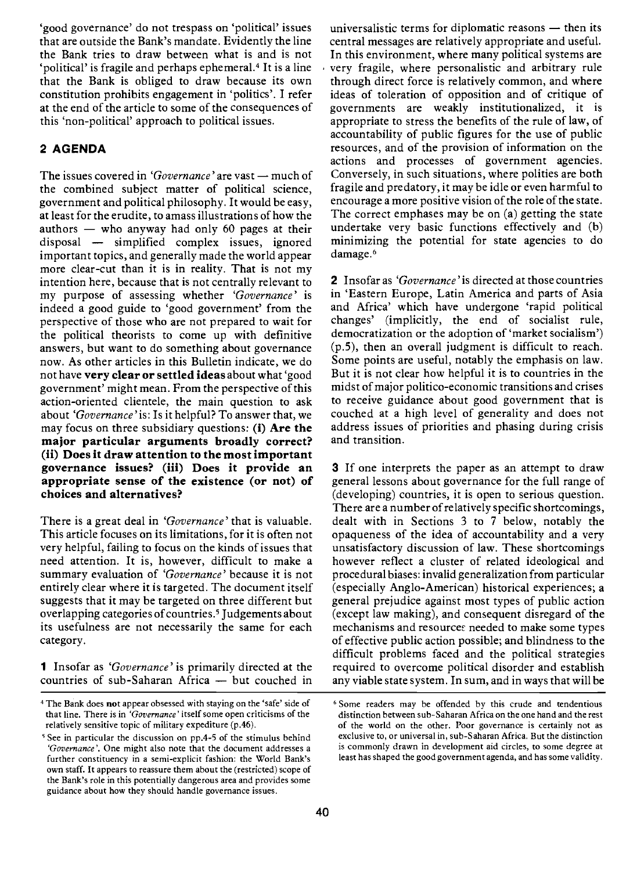'good governance' do not trespass on 'political' issues that are outside the Bank's mandate. Evidently the line the Bank tries to draw between what is and is not 'political' is fragile and perhaps ephemeral.4 It is a line that the Bank is obliged to draw because its own constitution prohibits engagement in 'politics'. I refer at the end of the article to some of the consequences of this 'non-political' approach to political issues.

## 2 AGENDA

The issues covered in 'Governance' are vast - much of the combined subject matter of political science, government and political philosophy. It would be easy, at least for the erudite, to amass illustrations of how the authors - who anyway had only 60 pages at their disposal - simplified complex issues, ignored important topics, and generally made the world appear more clear-cut than it is in reality. That is not my intention here, because that is not centrally relevant to my purpose of assessing whether 'Governance' is indeed a good guide to 'good government' from the perspective of those who are not prepared to wait for the political theorists to come up with definitive answers, but want to do something about governance now. As other articles in this Bulletin indicate, we do not have very clear or settled ideas about what 'good government' might mean. From the perspective of this action-oriented clientele, the main question to ask about 'Governance' is: Is it helpful? To answer that, we may focus on three subsidiary questions: (i) Are the major particular arguments broadly correct? (ii) Does it draw attention to the most important governance issues? (iii) Does it provide an appropriate sense of the existence (or not) of choices and alternatives?

There is a great deal in 'Governance' that is valuable. This article focuses on its limitations, for it is often not very helpful, failing to focus on the kinds of issues that need attention. It is, however, difficult to make a summary evaluation of 'Governance' because it is not entirely clear where it is targeted. The document itself suggests that it may be targeted on three different but overlapping categories of countries.5 Judgements about its usefulness are not necessarily the same for each category.

1 Insofar as 'Governance' is primarily directed at the countries of sub-Saharan Africa - but couched in universalistic terms for diplomatic reasons  $-$  then its central messages are relatively appropriate and useful. In this environment, where many political systems are very fragile, where personalistic and arbitrary rule through direct force is relatively common, and where ideas of toleration of opposition and of critique of governments are weakly institutionalized, it is appropriate to stress the benefits of the rule of law, of accountability of public figures for the use of public resources, and of the provision of information on the actions and processes of government agencies. Conversely, in such situations, where polities are both fragile and predatory, it may be idle or even harmful to encourage a more positive vision of the role of the state. The correct emphases may be on (a) getting the state undertake very basic functions effectively and (b) minimizing the potential for state agencies to do damage.<sup>6</sup>

2 Insofar as 'Governance' is directed at those countries in 'Eastern Europe, Latin America and parts of Asia and Africa' which have undergone 'rapid political changes' (implicitly, the end of socialist rule, democratization or the adoption of 'market socialism') (p.5), then an overall judgment is difficult to reach. Some points are useful, notably the emphasis on law. But it is not clear how helpful it is to countries in the midst of major politico-economic transitions and crises to receive guidance about good government that is couched at a high level of generality and does not address issues of priorities and phasing during crisis and transition.

3 If one interprets the paper as an attempt to draw general lessons about governance for the full range of (developing) countries, it is open to serious question. There are a number of relatively specific shortcomings, dealt with in Sections 3 to 7 below, notably the opaqueness of the idea of accountability and a very unsatisfactory discussion of law. These shortcomings however reflect a cluster of related ideological and procedural biases: invalid generalization from particular (especially Anglo-American) historical experiences; a general prejudice against most types of public action (except law making), and consequent disregard of the mechanisms and resourcet needed to make some types of effective public action possible; and blindness to the difficult problems faced and the political strategies required to overcome political disorder and establish any viable state system. In sum, and in ways that will be

<sup>&</sup>lt;sup>4</sup> The Bank does not appear obsessed with staying on the 'safe' side of that line. There is in 'Governance' itself some open criticisms of the relatively sensitive topic of military expediture (p.46).

<sup>&#</sup>x27;See in particular the discussion on pp.4-S of the stimulus behind 'Governance'. One might also note that the document addresses a further constituency in a semi-explicit fashion: the World Bank's own staff. It appears to reassure them about the (restricted) scope of the Bank's role in this potentially dangerous area and provides some guidance about how they should handle governance issues.

<sup>&#</sup>x27;Some readers may be offended by this crude and tendentious distinction between sub-Saharan Africa on the one hand and the rest of the world on the other. Poor governance is certainly not as exclusive to, or universal in, sub-Saharan Africa. But the distinction is commonly drawn in development aid circles, to some degree at least has shaped the good government agenda, and has some validity.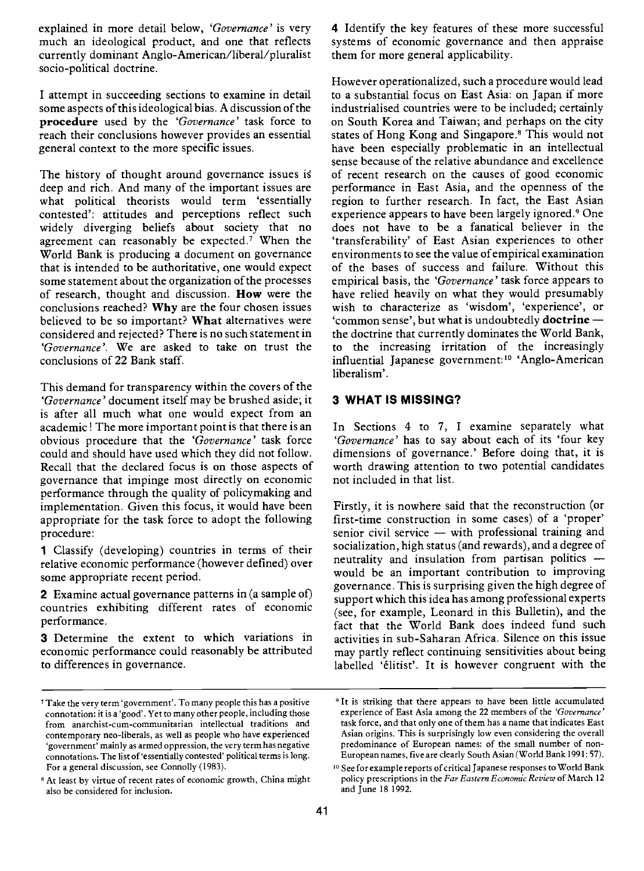explained in more detail below, 'Governance' is very much an ideological product, and one that reflects currently dominant Anglo-American/liberal/pluralist socio-political doctrine.

I attempt in succeeding sections to examine in detail some aspects of this ideological bias. A discussion of the procedure used by the 'Governance' task force to reach their conclusions however provides an essential general context to the more specific issues.

The history of thought around governance issues is deep and rich. And many of the important issues are what political theorists would term 'essentially contested': attitudes and perceptions reflect such agreement can reasonably be expected.<sup>7</sup> When the World Bank is producing a document on governance that is intended to be authoritative, one would expect some statement about the organization of the processes of research, thought and discussion. How were the conclusions reached? Why are the four chosen issues believed to be so important? What alternatives were considered and rejected? There is no such statement in 'Governance'. We are asked to take on trust the conclusions of 22 Bank staff.

This demand for transparency within the covers of the 'Governance' document itself may be brushed aside; it is after all much what one would expect from an academic! The more important point is that there is an obvious procedure that the 'Governance' task force could and should have used which they did not follow. Recall that the declared focus is on those aspects of governance that impinge most directly on economic performance through the quality of policymaking and implementation. Given this focus, it would have been appropriate for the task force to adopt the following procedure:

1 Classify (developing) countries in terms of their relative economic performance (however defined) over some appropriate recent period.

2 Examine actual governance patterns in (a sample of) countries exhibiting different rates of economic performance.

**3** Determine the extent to which variations in economic performance could reasonably be attributed to differences in governance.

4 Identify the key features of these more successful systems of economic governance and then appraise them for more general applicability.

However operationalized, such a procedure would lead to a substantial focus on East Asia: on Japan if more industrialised countries were to be included; certainly on South Korea and Taiwan; and perhaps on the city states of Hong Kong and Singapore.8 This would not have been especially problematic in an intellectual sense because of the relative abundance and excellence of recent research on the causes of good economic performance in East Asia, and the openness of the region to further research. In fact, the East Asian experience appears to have been largely ignored.9 One does not have to be a fanatical believer in the 'transferability' of East Asian experiences to other environments to see the value of empirical examination of the bases of success and failure. Without this empirical basis, the 'Governance' task force appears to have relied heavily on what they would presumably wish to characterize as 'wisdom', 'experience', or 'common sense', but what is undoubtedly  $d$  octrine  $$ the doctrine that currently dominates the World Bank, to the increasing irritation of the increasingly influential Japanese government:<sup>10</sup> 'Anglo-American liberalism'.

## 3 WHAT IS MISSING?

In Sections 4 to 7, I examine separately what 'Governance' has to say about each of its 'four key dimensions of governance.' Before doing that, it is worth drawing attention to two potential candidates not included in that list.

Firstly, it is nowhere said that the reconstruction (or first-time construction in some cases) of a 'proper' senior civil service  $-$  with professional training and socialization, high status (and rewards), and a degree of neutrality and insulation from partisan politics would be an important contribution to improving governance. This is surprising given the high degree of support which this idea has among professional experts (see, for example, Leonard in this Bulletin), and the fact that the World Bank does indeed fund such activities in sub-Saharan Africa. Silence on this issue may partly reflect continuing sensitivities about being labelled 'élitist'. It is however congruent with the

<sup>7</sup>Take the very term 'government'. To many people this has a positive connotation: it is a 'good'. Yet to many other people, including those from anarchist-cum-communitarian intellectual traditions and contemporary neo-liberals, as well as people who have experienced 'government' mainly as armed oppression, the very term has negative connotations. The list of 'essentially contested' political terms is long. For a general discussion, see Connolly (1983).

<sup>&</sup>lt;sup>8</sup> At least by virtue of recent rates of economic growth, China might also be considered for inclusion.

<sup>&</sup>lt;sup>9</sup> It is striking that there appears to have been little accumulated experience of East Asia among the 22 members of the 'Governance' task force, and that only one of them has a name that indicates East Asian origins. This is surprisingly low even considering the overall predominance of European names: of the small number of non-European names, five are clearly South Asian (World Bank 1991: 57).

<sup>&</sup>lt;sup>10</sup> See for example reports of critical Japanese responses to World Bank policy prescriptions in the Far Eastern Economic Review of March 12 and June 18 1992.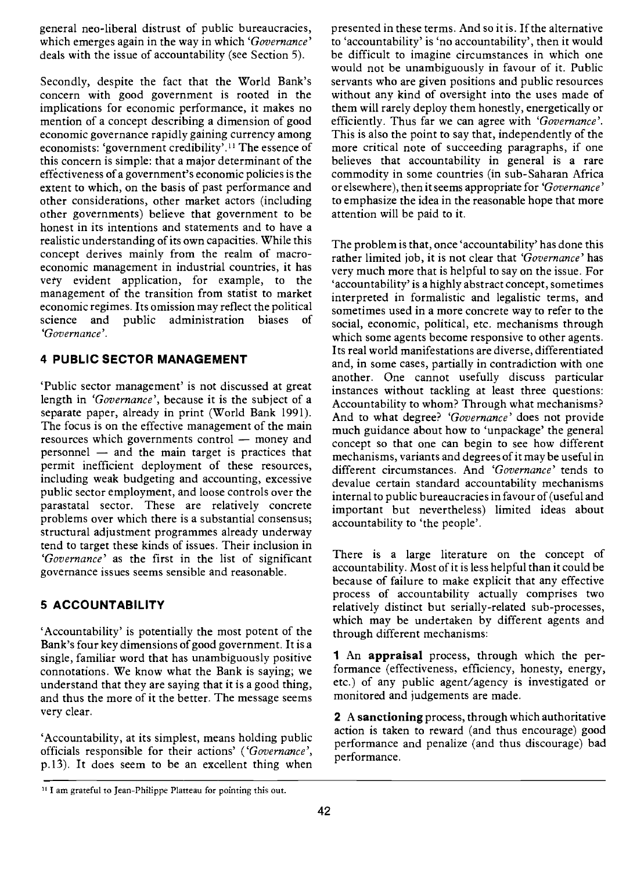general neo-liberal distrust of public bureaucracies, which emerges again in the way in which 'Governance' deals with the issue of accountability (see Section 5).

Secondly, despite the fact that the World Bank's concern with good government is rooted in the implications for economic performance, it makes no mention of a concept describing a dimension of good economic governance rapidly gaining currency among economists: 'government credibility'.<sup>11</sup> The essence of this concern is simple: that a major determinant of the effectiveness of a government's economic policies is the extent to which, on the basis of past performance and other considerations, other market actors (including other governments) believe that government to be honest in its intentions and statements and to have a realistic understanding of its own capacities. While this concept derives mainly from the realm of macroeconomic management in industrial countries, it has vety evident application, for example, to the management of the transition from statist to market economic regimes. Its omission may reflect the political science and public administration biases of 'Governance'.

## 4 PUBLIC SECTOR MANAGEMENT

'Public sector management' is not discussed at great length in 'Governance', because it is the subject of a separate paper, already in print (World Bank 1991). The focus is on the effective management of the main resources which governments control - money and personnel  $-$  and the main target is practices that permit inefficient deployment of these resources, including weak budgeting and accounting, excessive public sector employment, and loose controls over the parastatal sector. These are relatively concrete problems over which there is a substantial consensus; structural adjustment programmes already underway tend to target these kinds of issues. Their inclusion in 'Governance' as the first in the list of significant governance issues seems sensible and reasonable.

## 5 ACCOUNTABILITY

'Accountability' is potentially the most potent of the Bank's four key dimensions of good government. It is a single, familiar word that has unambiguously positive connotations. We know what the Bank is saying; we understand that they are saying that it is a good thing, and thus the more of it the better. The message seems very clear.

'Accountability, at its simplest, means holding public officials responsible for their actions' ('Governance', p.13). It does seem to be an excellent thing when presented in these terms. And so it is. If the alternative to 'accountability' is 'no accountability', then it would be difficult to imagine circumstances in which one would not be unambiguously in favour of it. Public servants who are given positions and public resources without any kind of oversight into the uses made of them will rarely deploy them honestly, energetically or efficiently. Thus far we can agree with 'Governance'. This is also the point to say that, independently of the more critical note of succeeding paragraphs, if one believes that accountability in general is a rare commodity in some countries (in sub-Saharan Africa or elsewhere), then it seems appropriate for 'Governance' to emphasize the idea in the reasonable hope that more attention will be paid to it.

The problem is that, once 'accountability' has done this rather limited job, it is not clear that 'Governance' has very much more that is helpful to say on the issue. For 'accountability' is a highly abstract concept, sometimes interpreted in formalistic and legalistic terms, and sometimes used in a more concrete way to refer to the social, economic, political, etc. mechanisms through which some agents become responsive to other agents. Its real world manifestations are diverse, differentiated and, in some cases, partially in contradiction with one another. One cannot usefully discuss particular instances without tackling at least three questions: Accountability to whom? Through what mechanisms? And to what degree? 'Governance' does not provide much guidance about how to 'unpackage' the general concept so that one can begin to see how different mechanisms, variants and degrees of it may be useful in different circumstances. And 'Governance' tends to devalue certain standard accountability mechanisms internal to public bureaucracies in favour of (useful and important but nevertheless) limited ideas about accountability to 'the people'.

There is a large literature on the concept of accountability. Most of it is less helpful than it could be because of failure to make explicit that any effective process of accountability actually comprises two relatively distinct but serially-related sub-processes, which may be undertaken by different agents and through different mechanisms:

1 An appraisal process, through which the performance (effectiveness, efficiency, honesty, energy, etc.) of any public agent/agency is investigated or monitored and judgements are made.

2 A sanctioning process, through which authoritative action is taken to reward (and thus encourage) good performance and penalize (and thus discourage) bad performance.

<sup>&</sup>lt;sup>11</sup> I am grateful to Jean-Philippe Platteau for pointing this out.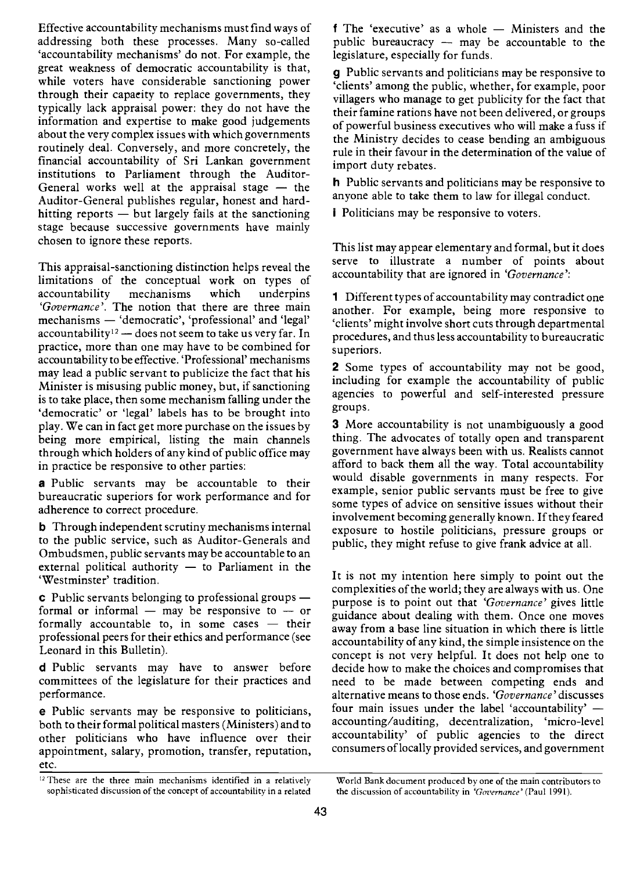Effective accountability mechanisms must find ways of addressing both these processes. Many so-called 'accountability mechanisms' do not. For example, the great weakness of democratic accountability is that, while voters have considerable sanctioning power through their capacity to replace governments, they typically lack appraisal power: they do not have the information and expertise to make good judgements about the very complex issues with which governments routinely deal. Conversely, and more concretely, the financial accountability of Sri Lankan government institutions to Parliament through the Auditor-General works well at the appraisal stage  $-$  the Auditor-General publishes regular, honest and hardhitting reports  $-$  but largely fails at the sanctioning stage because successive governments have mainly chosen to ignore these reports.

This appraisal-sanctioning distinction helps reveal the limitations of the conceptual work on types of accountability mechanisms which underpins 'Governance'. The notion that there are three main mechanisms - 'democratic', 'professional' and 'legal' accountability<sup>12</sup> - does not seem to take us very far. In practice, more than one may have to be combined for accountability to be effective. 'Professional' mechanisms may lead a public servant to publicize the fact that his Minister is misusing public money, but, if sanctioning is to take place, then some mechanism falling under the 'democratic' or 'legal' labels has to be brought into play. We can in fact get more purchase on the issues by being more empirical, listing the main channels through which holders of any kind of public office may in practice be responsive to other parties:

a Public servants may be accountable to their bureaucratic superiors for work performance and for adherence to correct procedure.

b Through independent scrutiny mechanisms internal to the public service, such as Auditor-Generals and Ombudsmen, public servants may be accountable to an external political authority  $-$  to Parliament in the 'Westminster' tradition.

 $\boldsymbol{c}$  Public servants belonging to professional groups  $$ formal or informal  $-$  may be responsive to  $-$  or formally accountable to, in some cases  $-$  their professional peers for their ethics and performance (see Leonard in this Bulletin).

d Public servants may have to answer before committees of the legislature for their practices and performance.

e Public servants may be responsive to politicians, both to their formal political masters (Ministers) and to other politicians who have influence over their appointment, salary, promotion, transfer, reputation, etc.

f The 'executive' as a whole  $-$  Ministers and the public bureaucracy  $-$  may be accountable to the legislature, especially for funds.

g Public servants and politicians may be responsive to 'clients' among the public, whether, for example, poor villagers who manage to get publicity for the fact that their famine rations have not been delivered, or groups of powerful business executives who will make a fuss if the Ministry decides to cease bending an ambiguous rule in their favour in the determination of the value of import duty rebates.

h Public servants and politicians may be responsive to anyone able to take them to law for illegal conduct.

*i* Politicians may be responsive to voters.

This list may appear elementary and formal, but it does serve to illustrate <sup>a</sup> number of points about accountability that are ignored in 'Governance':

1 Different types of accountability may contradict one another. For example, being more responsive to 'clients' might involve short cuts through departmental procedures, and thus less accountability to bureaucratic superiors.

2 Some types of accountability may not be good, including for example the accountability of public agencies to powerful and self-interested pressure groups.

3 More accountability is not unambiguously a good thing. The advocates of totally open and transparent government have always been with us. Realists cannot afford to back them all the way. Total accountability would disable governments in many respects. For example, senior public servants nust be free to give some types of advice on sensitive issues without their involvement becoming generally known. If they feared exposure to hostile politicians, pressure groups or public, they might refuse to give frank advice at all.

It is not my intention here simply to point out the complexities of the world; they are always with us. One purpose is to point out that 'Governance' gives little guidance about dealing with them. Once one moves away from a base line situation in which there is little accountability of any kind, the simple insistence on the concept is not very helpful. It does not help one to decide how to make the choices and compromises that need to be made between competing ends and alternative means to those ends. 'Governance'discusses four main issues under the label 'accountability'  $$ accounting/auditing, decentralization, 'micro-level accountability' of public agencies to the direct consumers of locally provided services, and government

<sup>&</sup>lt;sup>12</sup> These are the three main mechanisms identified in a relatively World Bank document produced by one of the main contributors to sophisticated discussion of the concept of accountability in a related the discussion of accountability in 'Governance' (Paul 1991).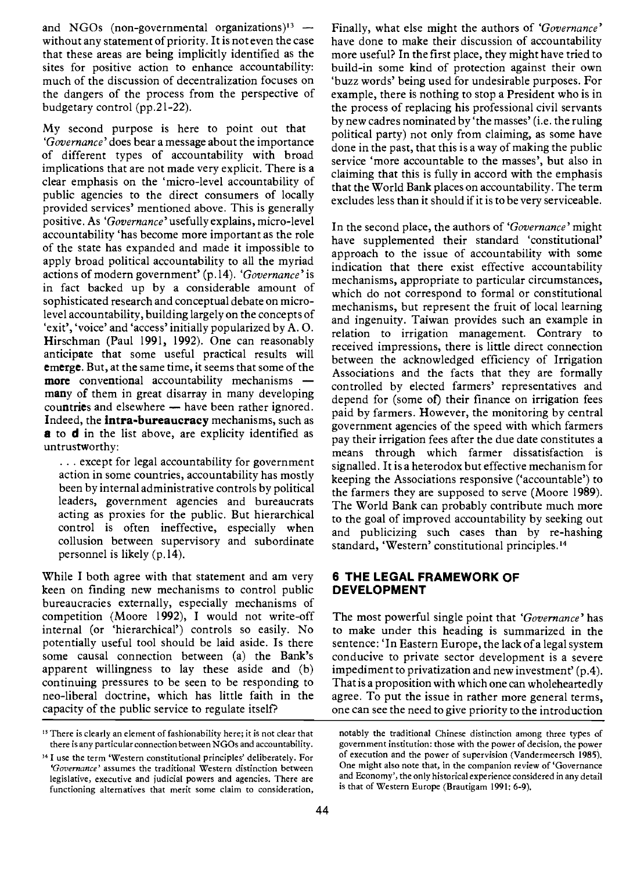and NGOs (non-governmental organizations) $13$  without any statement of priority. It is not even the case that these areas are being implicitly identified as the sites for positive action to enhance accountability: much of the discussion of decentralization focuses on the dangers of the process from the perspective of budgetary control (pp.21-22).

My second purpose is here to point out that 'Governance' does bear a message about the importance of different types of accountability with broad implications that are not made very explicit. There is a clear emphasis on the 'micro-level accountability of public agencies to the direct consumers of locally provided services' mentioned above. This is generally positive. As 'Governance' usefully explains, micro-level accountability 'has become more important as the role of the state has expanded and made it impossible to apply broad political accountability to all the myriad actions of modern government' (p.14). 'Governance' is in fact backed up by a considerable amount of sophisticated research and conceptual debate on microlevel accountability, building largely on the concepts of 'exit', 'voice' and 'access' initially popularized by A. O. Hirschman (Paul 1991, 1992). One can reasonably anticipate that some useful practical results will emerge. But, at the same time, it seems that some of the more conventional accountability mechanisms many of them in great disarray in many developing countries and elsewhere - have been rather ignored. Indeed, the intra-bureaucracy mechanisms, such as **a** to **d** in the list above, are explicity identified as untrustworthy:

 $\ldots$  except for legal accountability for government action in some countries, accountability has mostly been by internal administrative controls by political leaders, government agencies and bureaucrats acting as proxies for the public. But hierarchical control is often ineffective, especially when collusion between supervisory and subordinate personnel is likely (p.14).

While I both agree with that statement and am very keen on finding new mechanisms to control public bureaucracies externally, especially mechanisms of competition (Moore 1992), I would not write-off internal (or 'hierarchical') controls so easily. No potentially useful tool should be laid aside. Is there some causal connection between (a) the Bank's apparent willingness to lay these aside and (b) continuing pressures to be seen to be responding to neo-liberal doctrine, which has little faith in the capacity of the public service to regulate itself?

Finally, what else might the authors of 'Governance' have done to make their discussion of accountability more useful? In the first place, they might have tried to build-in some kind of protection against their own 'buzz words' being used for undesirable purposes. For example, there is nothing to stop a President who is in the process of replacing his professional civil servants by new cadres nominated by 'the masses' (i.e. the ruling political party) not only from claiming, as some have done in the past, that this is a way of making the public service 'more accountable to the masses', but also in claiming that this is fully in accord with the emphasis that the World Bank places on accountability. The term excludes less than it should if it is to be very serviceable.

In the second place, the authors of 'Governance' might have supplemented their standard 'constitutional' approach to the issue of accountability with some indication that there exist effective accountability mechanisms, appropriate to particular circumstances, which do not correspond to formal or constitutional mechanisms, but represent the fruit of local learning and ingenuity. Taiwan provides such an example in relation to irrigation management. Contrary to received impressions, there is little direct connection between the acknowledged efficiency of Irrigation Associations and the facts that they are formally controlled by elected farmers' representatives and depend for (some of) their finance on irrigation fees paid by farmers. However, the monitoring by central government agencies of the speed with which farmers pay their irrigation fees after the due date constitutes a means through which farmer dissatisfaction is signalled. It is a heterodox but effective mechanism for keeping the Associations responsive ('accountable') to the farmers they are supposed to serve (Moore 1989). The World Bank can probably contribute much more to the goal of improved accountability by seeking out and publicizing such cases than by re-hashing standard, 'Western' constitutional principles.<sup>14</sup>

## 6 THE LEGAL FRAMEWORK OF DEVELOPMENT

The most powerful single point that 'Governance' has to make under this heading is summarized in the sentence: 'In Eastern Europe, the lack of a legal system conducive to private sector development is a severe impediment to privatization and new investment' (p.4). That is a proposition with which one can wholeheartedly agree. To put the issue in rather more general terms, one can see the need to give priority to the introduction

<sup>&</sup>lt;sup>13</sup> There is clearly an element of fashionability here; it is not clear that there is any particular connection between NGOs and accountability.

<sup>&</sup>lt;sup>14</sup> I use the term 'Western constitutional principles' deliberately. For 'Governance' assumes the traditional Westem distinction between legislative, executive and judicial powers and agencies. There are functioning alternatives that merit some claim to consideration,

notably the traditional Chinese distinction among three types of government institution: those with the power of decision, the power of execution and the power of supervision (Vandermeersch 1985). One might also note that, in the companion review of 'Governance and Economy', the only historical experience considered in any detail is that of Western Europe (Brautigam 1991: 6-9).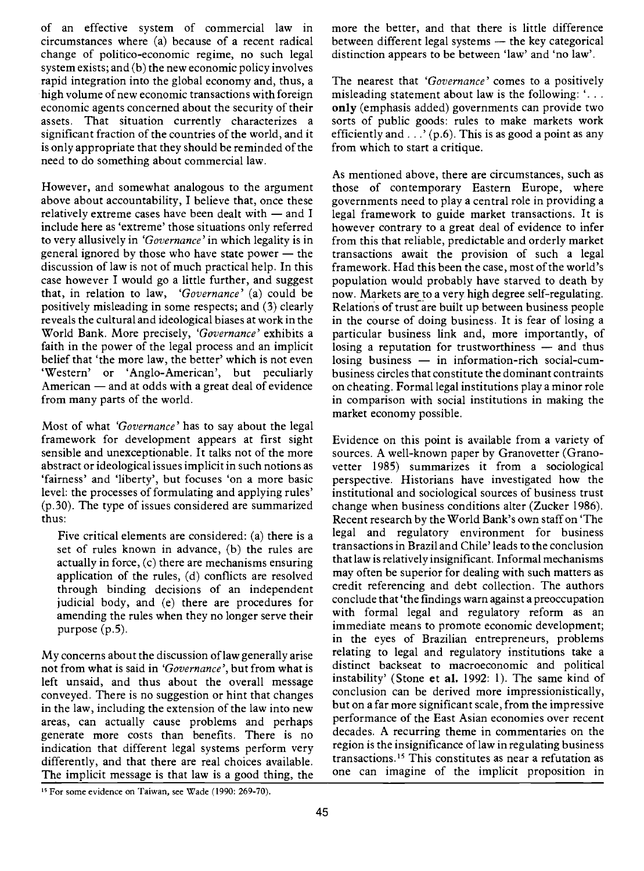of an effective system of commercial law in circumstances where (a) because of a recent radical change of politico-economic regime, no such legal system exists; and (b) the new economic policy involves rapid integration into the global economy and, thus, a high volume of new economic transactions with foreign economic agents concerned about the security of their assets. That situation currently characterizes a significant fraction of the countries of the world, and it is only appropriate that they should be reminded of the need to do something about commercial law.

However, and somewhat analogous to the argument above about accountability, I believe that, once these relatively extreme cases have been dealt with  $-$  and I include here as 'extreme' those situations only referred to very allusively in 'Governance' in which legality is in general ignored by those who have state power  $-$  the discussion of law is not of much practical help. In this case however I would go a little further, and suggest that, in relation to law, 'Governance' (a) could be positively misleading in some respects; and (3) clearly reveals the cultural and ideological biases at work in the World Bank. More precisely, 'Governance' exhibits a faith in the power of the legal process and an implicit belief that 'the more law, the better' which is not even 'Western' or 'Anglo-American', but peculiarly American  $-$  and at odds with a great deal of evidence from many parts of the world.

Most of what 'Governance' has to say about the legal framework for development appears at first sight sensible and unexceptionable. It talks not of the more abstract or ideological issues implicit in such notions as 'fairness' and 'liberty', but focuses 'on a more basic level: the processes of formulating and applying rules' (p.30). The type of issues considered are summarized thus:

Five critical elements are considered: (a) there is a set of rules known in advance, (b) the rules are actually in force, (c) there are mechanisms ensuring application of the rules, (d) conflicts are resolved through binding decisions of an independent judicial body, and (e) there are procedures for amending the rules when they no longer serve their purpose (p.5).

My concerns about the discussion of law generally arise not from what is said in 'Governance', but from what is left unsaid, and thus about the overall message conveyed. There is no suggestion or hint that changes in the law, including the extension of the law into new areas, can actually cause problems and perhaps generate more costs than benefits. There is no indication that different legal systems perform very differently, and that there are real choices available. The implicit message is that law is a good thing, the more the better, and that there is little difference between different legal systems  $-$  the key categorical distinction appears to be between 'law' and 'no law'.

The nearest that 'Governance' comes to a positively misleading statement about law is the following: '. only (emphasis added) governments can provide two sorts of public goods: rules to make markets work efficiently and  $\ldots$ , (p.6). This is as good a point as any from which to start a critique.

As mentioned above, there are circumstances, such as those of contemporary Eastern Europe, where governments need to play a central role in providing a legal framework to guide market transactions. It is however contrary to a great deal of evidence to infer from this that reliable, predictable and orderly market transactions await the provision of such a legal framework. Had this been the case, most of the world's population would probably have starved to death by now. Markets are to a very high degree self-regulating. Relations of trust are built up between business people in the course of doing business. It is fear of losing a particular business link and, more importantly, of losing a reputation for trustworthiness - and thus  $\log_{10}$  business  $-$  in information-rich social-cumbusiness circles that constitute the dominant contraints on cheating. Formal legal institutions play a minor role in comparison with social institutions in making the market economy possible.

Evidence on this point is available from a variety of sources. A well-known paper by Granovetter (Granovetter 1985) summarizes it from a sociological perspective. Historians have investigated how the institutional and sociological sources of business trust change when business conditions alter (Zucker 1986). Recent research by the World Bank's own staff on 'The legal and regulatory environment for business transactions in Brazil and Chile' leads to the conclusion that law is relatively insignificant. Informal mechanisms may often be superior for dealing with such matters as credit referencing and debt collection. The authors conclude that 'the findings warn against a preoccupation with formal legal and regulatory reform as an immediate means to promote economic development; in the eyes of Brazilian entrepreneurs, problems relating to legal and regulatory institutions take a distinct backseat to macroeconomic and political instability' (Stone et al. 1992: 1). The same kind of conclusion can be derived more impressionistically, but on a far more significant scale, from the impressive performance of the East Asian economies over recent decades. A recurring theme in commentaries on the region is the insignificance of law in regulating business transactions.15 This constitutes as near a refutation as one can imagine of the implicit proposition in

<sup>&</sup>lt;sup>15</sup> For some evidence on Taiwan, see Wade (1990: 269-70).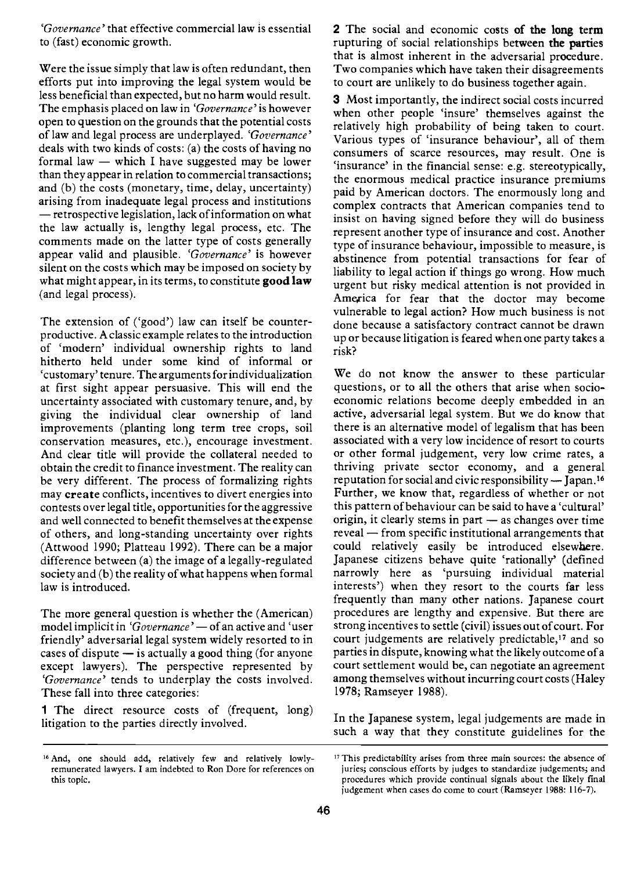'Governance' that effective commercial law is essential to (fast) economic growth.

Were the issue simply that law is often redundant, then efforts put into improving the legal system would be less beneficial than expected, but no harm would result. The emphasis placed on law in 'Governance' is however open to question on the grounds that the potential costs of law and legal process are underplayed. 'Governance' deals with two kinds of costs: (a) the costs of having no formal law  $-$  which I have suggested may be lower than they appear in relation to commercial transactions; and (b) the costs (monetary, time, delay, uncertainty) arising from inadequate legal process and institutions - retrospective legislation, lack of information on what the law actually is, lengthy legal process, etc. The comments made on the latter type of costs generally appear valid and plausible. 'Governance' is however silent on the costs which may be imposed on society by what might appear, in its terms, to constitute good law (and legal process).

The extension of ('good') law can itself be counterproductive. A classic example relates to the introduction of 'modern' individual ownership rights to land hitherto held under some kind of informal or 'customary' tenure. The arguments for individualization at first sight appear persuasive. This will end the uncertainty associated with customary tenure, and, by giving the individual clear ownership of land improvements (planting long term tree crops, soil conservation measures, etc.), encourage investment. And clear title will provide the collateral needed to obtain the credit to finance investment. The reality can be very different. The process of formalizing rights may create conflicts, incentives to divert energies into contests over legal title, opportunities for the aggressive and well connected to benefit themselves at the expense of others, and long-standing uncertainty over rights (Attwood 1990; Platteau 1992). There can be a major difference between (a) the image of a legally-regulated society and (b) the reality of what happens when formal law is introduced.

The more general question is whether the (American) model implicit in 'Governance' - of an active and 'user friendly' adversarial legal system widely resorted to in cases of dispute  $-$  is actually a good thing (for anyone except lawyers). The perspective represented by 'Governance' tends to underplay the costs involved. These fall into three categories:

1 The direct resource costs of (frequent, long) litigation to the parties directly involved.

2 The social and economic costs of the long term rupturing of social relationships between the parties that is almost inherent in the adversarial procedure. Two companies which have taken their disagreements to court are unlikely to do business together again.

3 Most importantly, the indirect social costs incurred when other people 'insure' themselves against the relatively high probability of being taken to court. Various types of 'insurance behaviour', all of them consumers of scarce resources, may result. One is 'insurance' in the financial sense: e.g. stereotypically, the enormous medical practice insurance premiums paid by American doctors. The enormously long and complex contracts that American companies tend to insist on having signed before they will do business represent another type of insurance and cost. Another type of insurance behaviour, impossible to measure, is abstinence from potential transactions for fear of liability to legal action if things go wrong. How much urgent but risky medical attention is not provided in America for fear that the doctor may become vulnerable to legal action? How much business is not done because a satisfactory contract cannot be drawn up or because litigation is feared when one party takes a risk?

We do not know the answer to these particular questions, or to all the others that arise when socioeconomic relations become deeply embedded in an active, adversarial legal system. But we do know that there is an alternative model of legalism that has been associated with a very low incidence of resort to courts or other formal judgement, very low crime rates, a thriving private sector economy, and a general reputation for social and civic responsibility - Japan.<sup>16</sup> Further, we know that, regardless of whether or not this pattern of behaviour can be said to have a 'cultural' origin, it clearly stems in part  $-$  as changes over time  $reveal$  - from specific institutional arrangements that could relatively easily be introduced elsewhere. Japanese citizens behave quite 'rationally' (defined narrowly here as 'pursuing individual material interests') when they resort to the courts far less frequently than many other nations. Japanese court procedures are lengthy and expensive. But there are strong incentives to settle (civil) issues out of court. For court judgements are relatively predictable,<sup>17</sup> and so parties in dispute, knowing what the likely outcome of a court settlement would be, can negotiate an agreement among themselves without incurring court costs (Haley 1978; Ramseyer 1988).

In the Japanese system, legal judgements are made in such a way that they constitute guidelines for the

<sup>&</sup>lt;sup>16</sup> And, one should add, relatively few and relatively lowlyremunerated lawyers. I am indebted to Ron Dore for references on this topic.

<sup>&</sup>lt;sup>17</sup> This predictability arises from three main sources: the absence of juries; conscious efforts by judges to standardize judgements; and procedures which provide continual signals about the likely final judgement when cases do come to court (Ramseyer 1988: 1 16-7).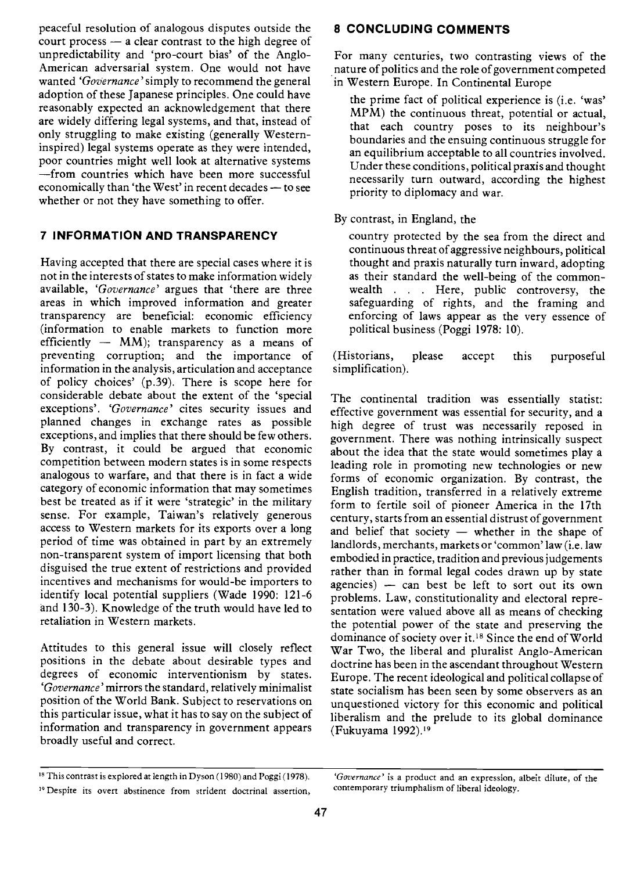peaceful resolution of analogous disputes outside the court process  $-$  a clear contrast to the high degree of unpredictability and 'pro-court bias' of the Anglo-American adversarial system. One would not have wanted 'Governance' simply to recommend the general adoption of these Japanese principles. One could have reasonably expected an acknowledgement that there are widely differing legal systems, and that, instead of only struggling to make existing (generally Westerninspired) legal systems operate as they were intended, poor countries might well look at alternative systems from countries which have been more successful economically than 'the West' in recent decades - to see whether or not they have something to offer.

## 7 INFORMATION AND TRANSPARENCY

Having accepted that there are special cases where it is not in the interests of states to make information widely available, 'Governance' argues that 'there are three areas in which improved information and greater transparency are beneficial: economic efficiency (information to enable markets to function more efficiently  $-$  MM); transparency as a means of preventing corruption; and the importance of (Historians, preventing corruption; and the importance of information in the analysis, articulation and acceptance of policy choices' (p.139). There is scope here for considerable debate about the extent of the 'special exceptions'. 'Governance' cites security issues and planned changes in exchange rates as possible exceptions, and implies that there should be few others. By contrast, it could be argued that economic competition between modern states is in some respects analogous to warfare, and that there is in fact a wide category of economic information that may sometimes best be treated as if it were 'strategic' in the military sense. For example, Taiwan's relatively generous access to Western markets for its exports over a long period of time was obtained in part by an extremely non-transparent system of import licensing that both disguised the true extent of restrictions and provided incentives and mechanisms for would-be importers to identify local potential suppliers (Wade 1990: 121-6 and 130-3). Knowledge of the truth would have led to retaliation in Western markets.

Attitudes to this general issue will closely reflect positions in the debate about desirable types and degrees of economic interventionism by states. 'Governance'mirrors the standard, relatively minimalist position of the World Bank. Subject to reservations on this particular issue, what it has to say on the subject of information and transparency in government appears broadly useful and correct.

#### 8 CONCLUDING COMMENTS

For many centuries, two contrasting views of the nature of politics and the role of government competed in Western Europe. In Continental Europe

the prime fact of political experience is (i.e. 'was' MPM) the continuous threat, potential or actual, that each country poses to its neighbour's boundaries and the ensuing continuous struggle for an equilibrium acceptable to all countries involved. Under these conditions, political praxis and thought necessarily turn outward, according the highest priority to diplomacy and war.

By contrast, in England, the

country protected by the sea from the direct and continuous threat of aggressive neighbours, political thought and praxis naturally turn inward, adopting as their standard the well-being of the commonwealth . . . Here, public controversy, the safeguarding of rights, and the framing and enforcing of laws appear as the very essence of political business (Poggi 1978: 10).

please accept this purposeful simplification).

The continental tradition was essentially statist: effective government was essential for security, and a high degree of trust was necessarily reposed in government. There was nothing intrinsically suspect about the idea that the state would sometimes play a leading role in promoting new technologies or new forms of economic organization. By contrast, the English tradition, transferred in a relatively extreme form to fertile soil of pioneer America in the 17th century, starts from an essential distrust of government and belief that society  $-$  whether in the shape of landlords, merchants, markets or 'common' law (i.e. law embodied in practice, tradition and previous judgements rather than in formal legal codes drawn up by state agencies)  $-$  can best be left to sort out its own problems. Law, constitutionality and electoral representation were valued above all as means of checking the potential power of the state and preserving the dominance of society over it.18 Since the end of World War Two, the liberal and pluralist Anglo-American doctrine has been in the ascendant throughout Western Europe. The recent ideological and political collapse of state socialism has been seen by some observers as an unquestioned victory for this economic and political liberalism and the prelude to its global dominance (Fukuyama l992))

<sup>&</sup>lt;sup>19</sup> Despite its overt abstinence from strident doctrinal assertion,

<sup>&</sup>lt;sup>18</sup> This contrast is explored at length in Dyson (1980) and Poggi (1978). 'Governance' is a product and an expression, albeit dilute, of the<br><sup>19</sup> Despite its overt abstinence from strident doctrinal assertion. Contemporar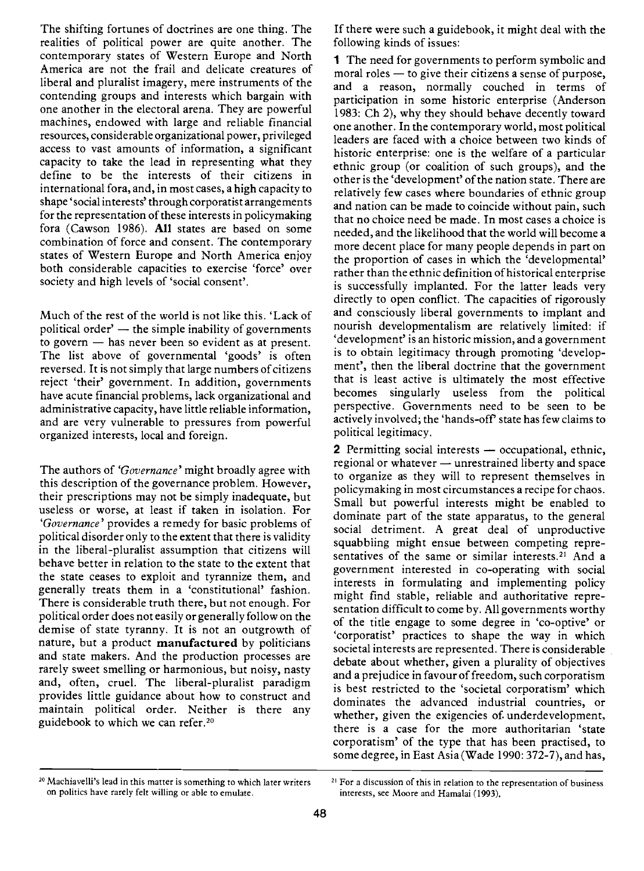The shifting fortunes of doctrines are one thing. The realities of political power are quite another. The contemporary states of Western Europe and North America are not the frail and delicate creatures of liberal and pluralist imagery, mere instruments of the contending groups and interests which bargain with one another in the electoral arena. They are powerful machines, endowed with large and reliable financial resources, considerable organizational power, privileged access to vast amounts of information, a significant capacity to take the lead in representing what they define to be the interests of their citizens in international fora, and, in most cases, a high capacity to shape 'social interests' through corporatist arrangements for the representation of these interests in policymaking fora (Cawson 1986). All states are based on some combination of force and consent. The contemporary states of Western Europe and North America enjoy both considerable capacities to exercise 'force' over society and high levels of 'social consent'.

Much of the rest of the world is not like this. 'Lack of political order'  $-$  the simple inability of governments to govern  $-$  has never been so evident as at present. The list above of governmental 'goods' is often reversed. It is not simply that large numbers of citizens reject 'their' government. In addition, governments have acute financial problems, lack organizational and administrative capacity, have little reliable information, and are very vulnerable to pressures from powerful organized interests, local and foreign.

The authors of 'Governance' might broadly agree with this description of the governance problem. However, their prescriptions may not be simply inadequate, but useless or worse, at least if taken in isolation. For 'Governance' provides a remedy for basic problems of political disorder only to the extent that there is validity in the liberal-pluralist assumption that citizens will behave better in relation to the state to the extent that the state ceases to exploit and tyrannize them, and generally treats them in a 'constitutional' fashion. There is considerable truth there, but not enough. For political order does not easily or generally follow on the demise of state tyranny. It is not an outgrowth of nature, but a product manufactured by politicians and state makers. And the production processes are rarely sweet smelling or harmonious, but noisy, nasty and, often, cruel. The liberal-pluralist paradigm provides little guidance about how to construct and maintain political order. Neither is there any guidebook to which we can refer.<sup>20</sup>

If there were such a guidebook, it might deal with the following kinds of issues:

1 The need for governments to perform symbolic and  $m$ oral roles  $-$  to give their citizens a sense of purpose, and a reason, normally couched in terms of participation in some historic enterprise (Anderson 1983: Ch 2), why they should behave decently toward one another. In the contemporary world, most political leaders are faced with a choice between two kinds of historic enterprise: one is the welfare of a particular ethnic group (or coalition of such groups), and the other is the 'development' of the nation state. There are relatively few cases where boundaries of ethnic group and nation can be made to coincide without pain, such that no choice need be made. In most cases a choice is needed, and the likelihood that the world will become a more decent place for many people depends in part on the proportion of cases in which the 'developmental' rather than the ethnic definition of historical enterprise is successfully implanted. For the latter leads very directly to open conflict. The capacities of rigorously and consciously liberal governments to implant and nourish developmentalism are relatively limited: if 'development' is an historic mission, and a government is to obtain legitimacy through promoting 'development', then the liberal doctrine that the government that is least active is ultimately the most effective becomes singularly useless from the political perspective. Governments need to be seen to be actively involved; the 'hands-off' state has few claims to political legitimacy.

2 Permitting social interests - occupational, ethnic,  $r$ regional or whatever  $-$  unrestrained liberty and space to organize as they will to represent themselves in policymaking in most circumstances a recipe for chaos. Small but powerful interests might be enabled to dominate part of the state apparatus, to the general social detriment. A great deal of unproductive squabbling might ensue between competing representatives of the same or similar interests.<sup>21</sup> And a government interested in co-operating with social interests in formulating and implementing policy might find stable, reliable and authoritative representation difficult to come by. All governments worthy of the title engage to some degree in 'co-optive' or 'corporatist' practices to shape the way in which societal interests are represented. There is considerable debate about whether, given a plurality of objectives and a prejudice in favour of freedom, such corporatism is best restricted to the 'societal corporatism' which dominates the advanced industrial countries, or whether, given the exigencies of. underdevelopment, there is a case for the more authoritarian 'state corporatism' of the type that has been practised, to some degree, in East Asia (Wade 1990: 372-7), and has,

<sup>20</sup> Machiavelli's lead in this matter is something to which later writers on politics have rarely felt willing or able to emulate.

<sup>&</sup>lt;sup>21</sup> For a discussion of this in relation to the representation of business interests, see Moore and Hamalai (1993).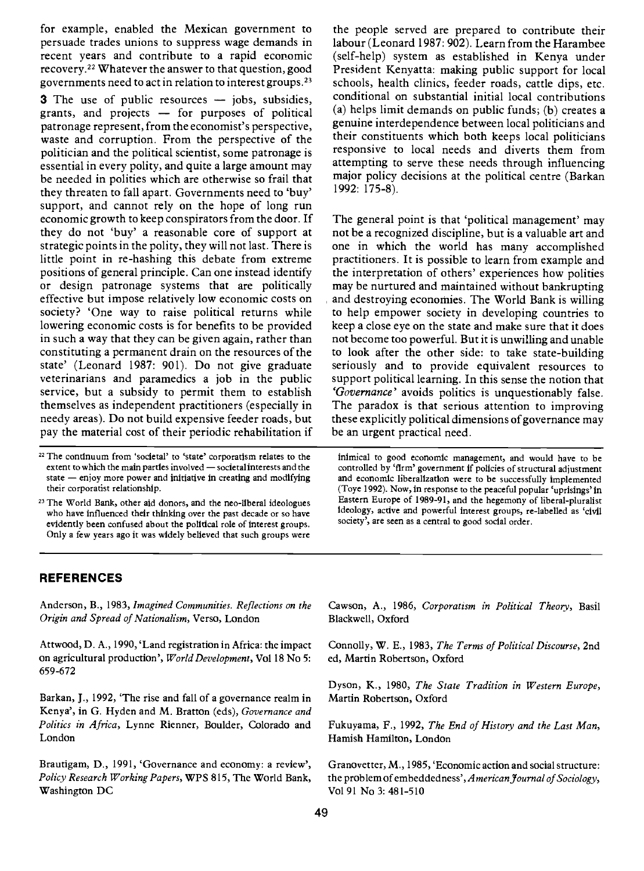for example, enabled the Mexican government to persuade trades unions to suppress wage demands in recent years and contribute to a rapid economic recovery.22 Whatever the answer to that question, good governments need to act in relation to interest groups.23

**3** The use of public resources  $-$  jobs, subsidies, grants, and projects  $-$  for purposes of political patronage represent, from the economist's perspective, waste and corruption. From the perspective of the politician and the political scientist, some patronage is essential in every polity, and quite a large amount may be needed in polities which are otherwise so frail that they threaten to fall apart. Governments need to 'buy' support, and cannot rely on the hope of long run economic growth to keep conspirators from the door. If they do not 'buy' a reasonable core of support at strategic points in the polity, they will not last. There is little point in re-hashing this debate from extreme positions of general principle. Can one instead identify or design patronage systems that are politically effective but impose relatively low economic costs on society? 'One way to raise political returns while lowering economic costs is for benefits to be provided in such a way that they can be given again, rather than constituting a permanent drain on the resources of the state' (Leonard 1987: 901). Do not give graduate veterinarians and paramedics a job in the public service, but a subsidy to permit them to establish themselves as independent practitioners (especially in needy areas). Do not build expensive feeder roads, but pay the material cost of their periodic rehabilitation if

- <sup>22</sup> The continuum from 'societal' to 'state' corporatism relates to the extent to which the main parties involved - societal interests and the state  $-$  enjoy more power and initiative in creating and modifying their corporatist relationship.
- <sup>23</sup> The World Bank, other aid donors, and the neo-liberal ideologues who have influenced their thinking over the past decade or so have evidently been confused about the political role of interest groups. Only a few years ago it was widely believed that such groups were

the people served are prepared to contribute their labour (Leonard 1987: 902). Learn from the Harambee (self-help) system as established in Kenya under President Kenyatta: making public support for local schools, health clinics, feeder roads, cattle dips, etc. conditional on substantial initial local contributions (a) helps limit demands on public funds; (b) creates a genuine interdependence between local politicians and their constituents which both keeps local politicians responsive to local needs and diverts them from attempting to serve these needs through influencing major policy decisions at the political centre (Barkan 1992: 175-8).

The general point is that 'political management' may not be a recognized discipline, but is a valuable art and one in which the world has many accomplished practitioners. It is possible to learn from example and the interpretation of others' experiences how polities may be nurtured and maintained without bankrupting and destroying economies. The World Bank is willing to help empower society in developing countries to keep a close eye on the state and make sure that it does not become too powerful. But it is unwilling and unable to look after the other side: to take state-building seriously and to provide equivalent resources to support political learning. In this sense the notion that 'Governance' avoids politics is unquestionably false. The paradox is that serious attention to improving these explicitly political dimensions of governance may be an urgent practical need.

inimical to good economic management, and would have to be controlled by 'firm' government if policies of structural adjustment and economic liberalization were to be successfully implemented (Toye 1992). Now, in response to the peaceful popular 'uprisings' in Eastern Europe of 1989-91, and the hegemony of liberal-pluralist ideology, active and powerful interest groups, re-labelled as 'civil society', are seen as a central to good social order.

#### REFERENCES

Anderson, B., 1983, Imagined Communities. Reflections on the Origin and Spread of Nationalism, Verso, London

Attwood, D. A., 1990, 'Land registration in Africa: the impact on agricultural production', World Development, Vol 18 No 5: 659-672

Barkan, J., 1992, 'The rise and fall of a governance realm in Kenya', in G. Hyden and M. Bratton (eds), Governance and Politics in Africa, Lynne Rienner, Boulder, Colorado and London

Brautigam, D., 1991, 'Governance and economy: a review', Policy Research Working Papers, WPS 815, The World Bank, Washington DC

Cawson, A., 1986, Corporatism in Political Theory, Basil Blackwell, Oxford

Connolly, W. E., 1983, The Terms of Political Discourse, 2nd cd, Martin Robertson, Oxford

Dyson, K., 1980, The State Tradition in Western Europe, Martin Robertson, Oxford

Fukuyama, F., 1992, The End of History and the Last Man, Hamish Hamilton, London

Granovetter, M., 1985, 'Economic action and social structure: the problem of embeddedness', American Journal of Sociology, Vol 91 No 3: 481-510